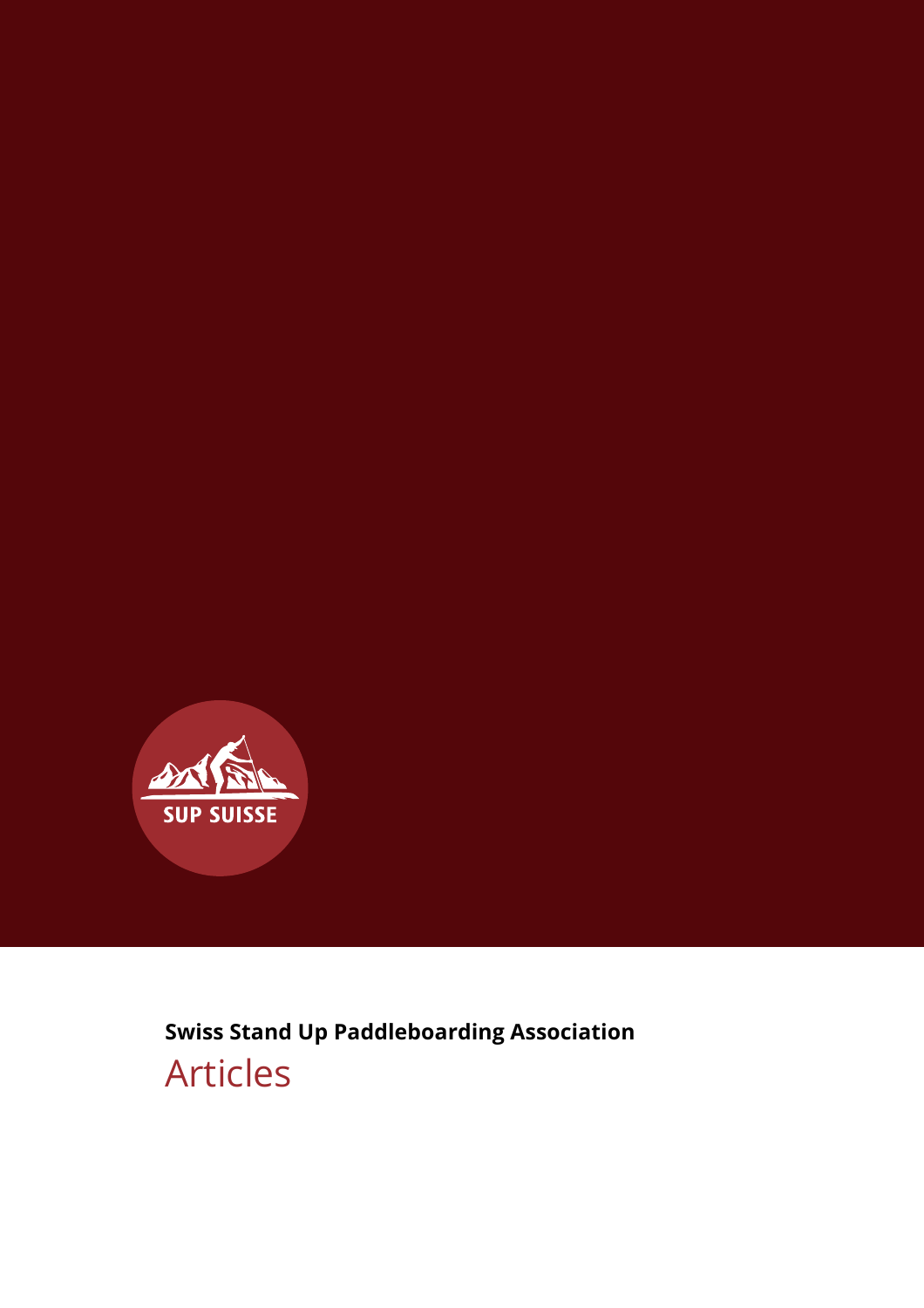

**Swiss Stand Up Paddleboarding Association** Articles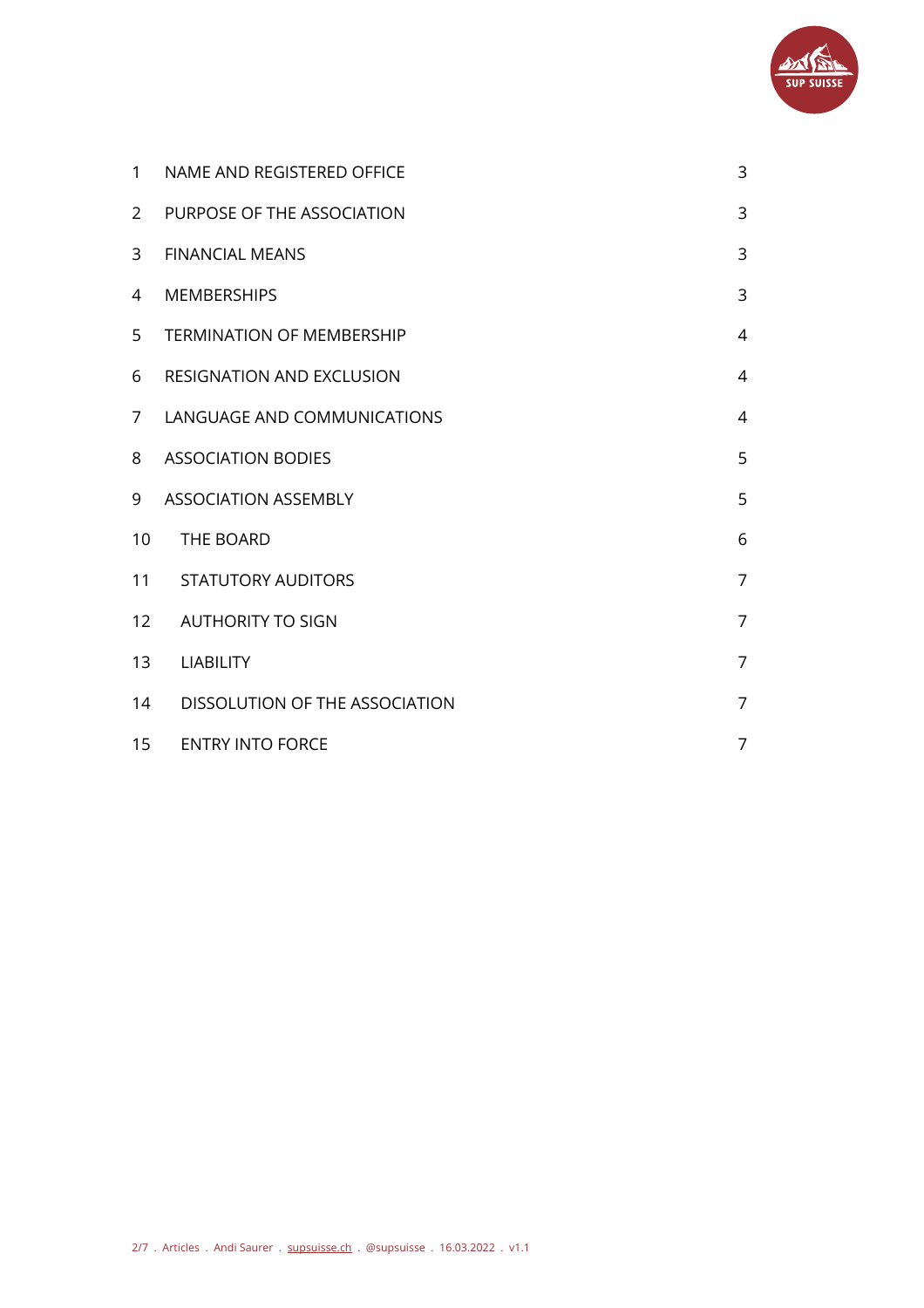

| $\mathbf{1}$   | NAME AND REGISTERED OFFICE       | 3              |
|----------------|----------------------------------|----------------|
| $\overline{2}$ | PURPOSE OF THE ASSOCIATION       | 3              |
| 3              | <b>FINANCIAL MEANS</b>           | 3              |
| 4              | <b>MEMBERSHIPS</b>               | 3              |
| 5              | <b>TERMINATION OF MEMBERSHIP</b> | $\overline{4}$ |
| 6              | <b>RESIGNATION AND EXCLUSION</b> | $\overline{4}$ |
| $7^{\circ}$    | LANGUAGE AND COMMUNICATIONS      | $\overline{4}$ |
| 8              | <b>ASSOCIATION BODIES</b>        | 5              |
| 9              | <b>ASSOCIATION ASSEMBLY</b>      | 5              |
| 10             | THE BOARD                        | 6              |
| 11             | <b>STATUTORY AUDITORS</b>        | $\overline{7}$ |
| 12             | <b>AUTHORITY TO SIGN</b>         | $\overline{7}$ |
| 13             | <b>LIABILITY</b>                 | $\overline{7}$ |
| 14             | DISSOLUTION OF THE ASSOCIATION   | $\overline{7}$ |
| 15             | <b>ENTRY INTO FORCE</b>          | $\overline{7}$ |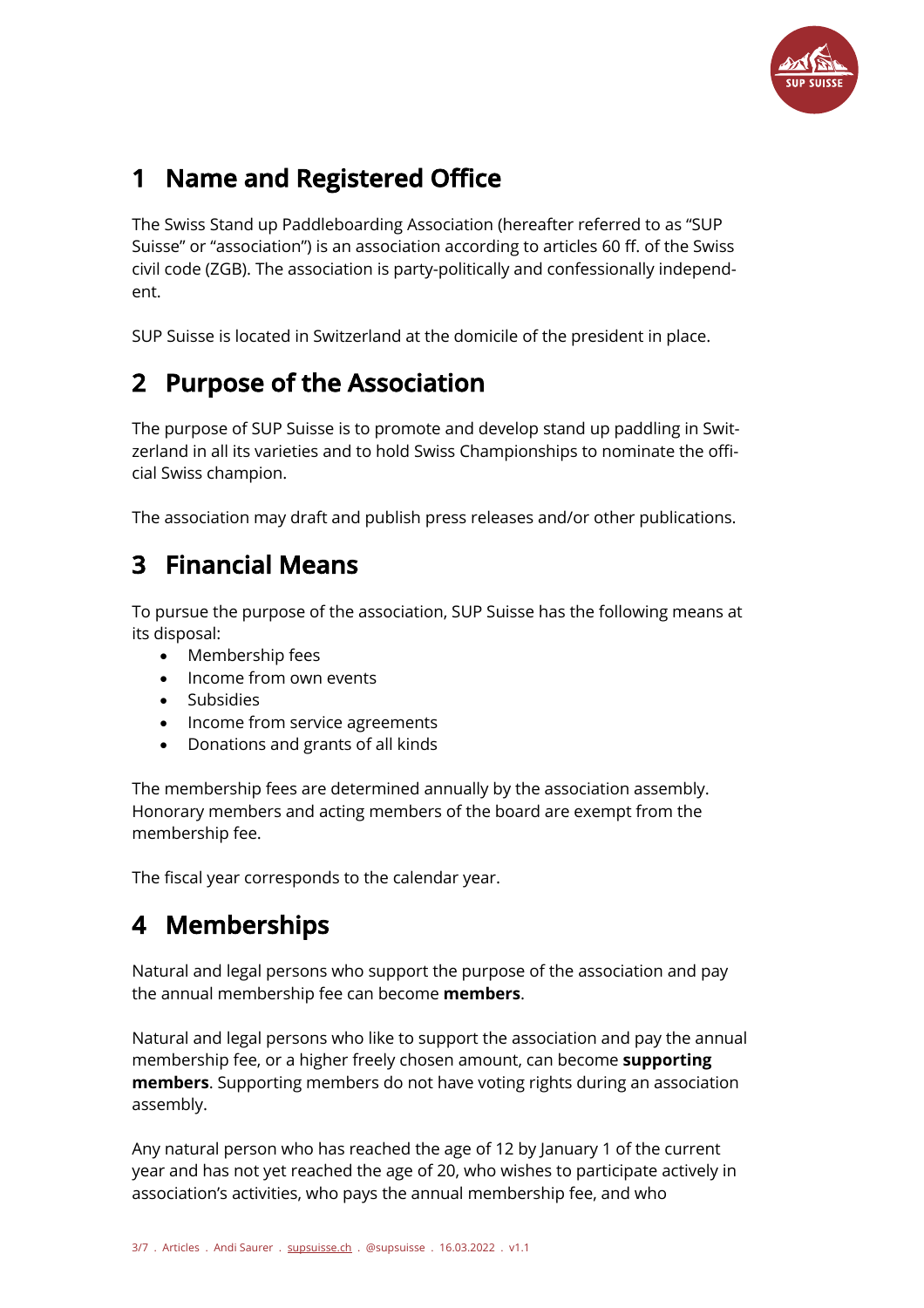

# **1 Name and Registered Office**

The Swiss Stand up Paddleboarding Association (hereafter referred to as "SUP Suisse" or "association") is an association according to articles 60 ff. of the Swiss civil code (ZGB). The association is party-politically and confessionally independent.

SUP Suisse is located in Switzerland at the domicile of the president in place.

#### **2 Purpose of the Association**

The purpose of SUP Suisse is to promote and develop stand up paddling in Switzerland in all its varieties and to hold Swiss Championships to nominate the official Swiss champion.

The association may draft and publish press releases and/or other publications.

#### **3 Financial Means**

To pursue the purpose of the association, SUP Suisse has the following means at its disposal:

- Membership fees
- Income from own events
- Subsidies
- Income from service agreements
- Donations and grants of all kinds

The membership fees are determined annually by the association assembly. Honorary members and acting members of the board are exempt from the membership fee.

The fiscal year corresponds to the calendar year.

## **4 Memberships**

Natural and legal persons who support the purpose of the association and pay the annual membership fee can become **members**.

Natural and legal persons who like to support the association and pay the annual membership fee, or a higher freely chosen amount, can become **supporting members**. Supporting members do not have voting rights during an association assembly.

Any natural person who has reached the age of 12 by January 1 of the current year and has not yet reached the age of 20, who wishes to participate actively in association's activities, who pays the annual membership fee, and who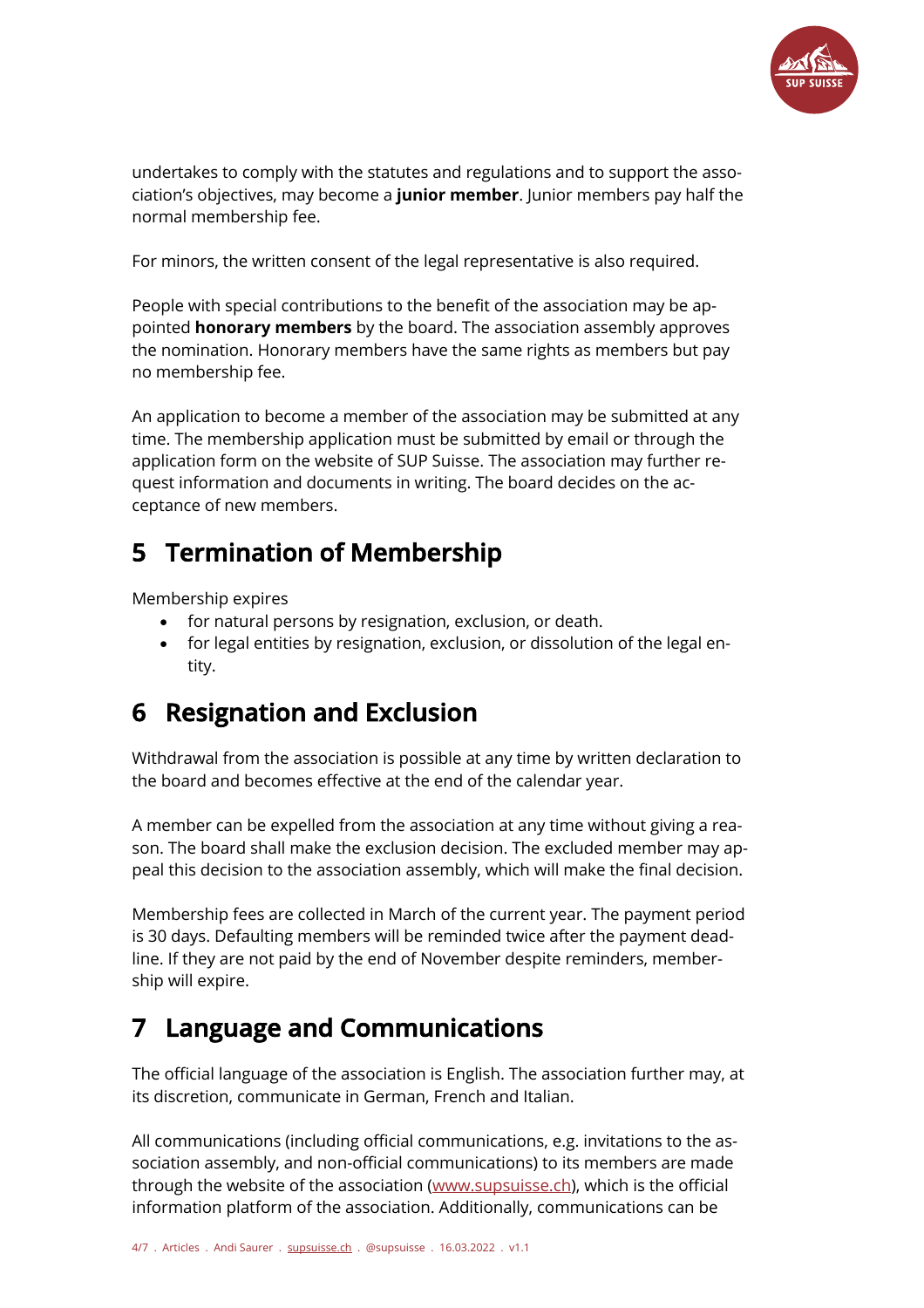

undertakes to comply with the statutes and regulations and to support the association's objectives, may become a **junior member**. Junior members pay half the normal membership fee.

For minors, the written consent of the legal representative is also required.

People with special contributions to the benefit of the association may be appointed **honorary members** by the board. The association assembly approves the nomination. Honorary members have the same rights as members but pay no membership fee.

An application to become a member of the association may be submitted at any time. The membership application must be submitted by email or through the application form on the website of SUP Suisse. The association may further request information and documents in writing. The board decides on the acceptance of new members.

#### **5 Termination of Membership**

Membership expires

- for natural persons by resignation, exclusion, or death.
- for legal entities by resignation, exclusion, or dissolution of the legal entity.

## **6 Resignation and Exclusion**

Withdrawal from the association is possible at any time by written declaration to the board and becomes effective at the end of the calendar year.

A member can be expelled from the association at any time without giving a reason. The board shall make the exclusion decision. The excluded member may appeal this decision to the association assembly, which will make the final decision.

Membership fees are collected in March of the current year. The payment period is 30 days. Defaulting members will be reminded twice after the payment deadline. If they are not paid by the end of November despite reminders, membership will expire.

# **7 Language and Communications**

The official language of the association is English. The association further may, at its discretion, communicate in German, French and Italian.

All communications (including official communications, e.g. invitations to the association assembly, and non-official communications) to its members are made through the website of the association (www.supsuisse.ch), which is the official information platform of the association. Additionally, communications can be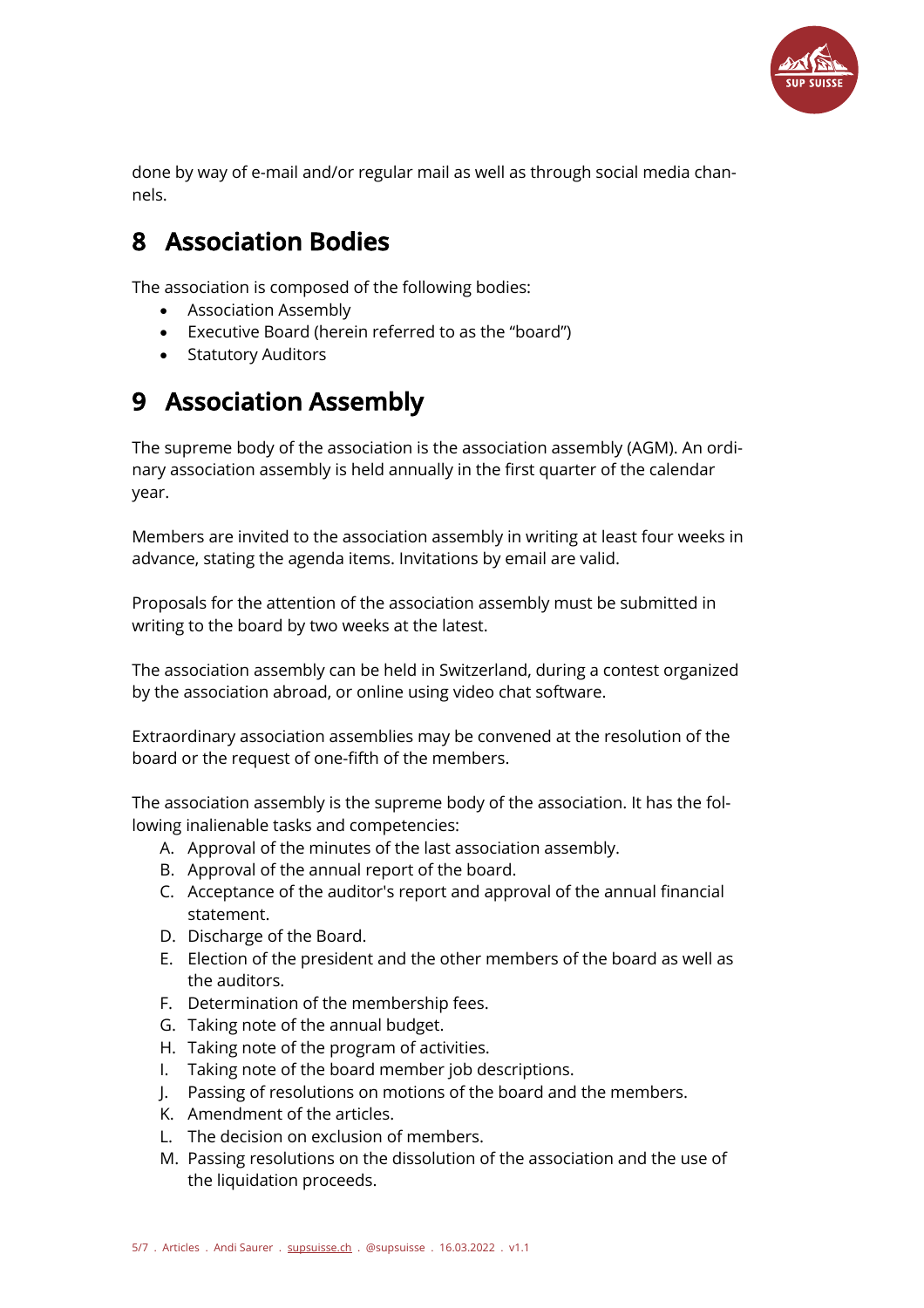

done by way of e-mail and/or regular mail as well as through social media channels.

# **8 Association Bodies**

The association is composed of the following bodies:

- Association Assembly
- Executive Board (herein referred to as the "board")
- Statutory Auditors

## **9 Association Assembly**

The supreme body of the association is the association assembly (AGM). An ordinary association assembly is held annually in the first quarter of the calendar year.

Members are invited to the association assembly in writing at least four weeks in advance, stating the agenda items. Invitations by email are valid.

Proposals for the attention of the association assembly must be submitted in writing to the board by two weeks at the latest.

The association assembly can be held in Switzerland, during a contest organized by the association abroad, or online using video chat software.

Extraordinary association assemblies may be convened at the resolution of the board or the request of one-fifth of the members.

The association assembly is the supreme body of the association. It has the following inalienable tasks and competencies:

- A. Approval of the minutes of the last association assembly.
- B. Approval of the annual report of the board.
- C. Acceptance of the auditor's report and approval of the annual financial statement.
- D. Discharge of the Board.
- E. Election of the president and the other members of the board as well as the auditors.
- F. Determination of the membership fees.
- G. Taking note of the annual budget.
- H. Taking note of the program of activities.
- I. Taking note of the board member job descriptions.
- J. Passing of resolutions on motions of the board and the members.
- K. Amendment of the articles.
- L. The decision on exclusion of members.
- M. Passing resolutions on the dissolution of the association and the use of the liquidation proceeds.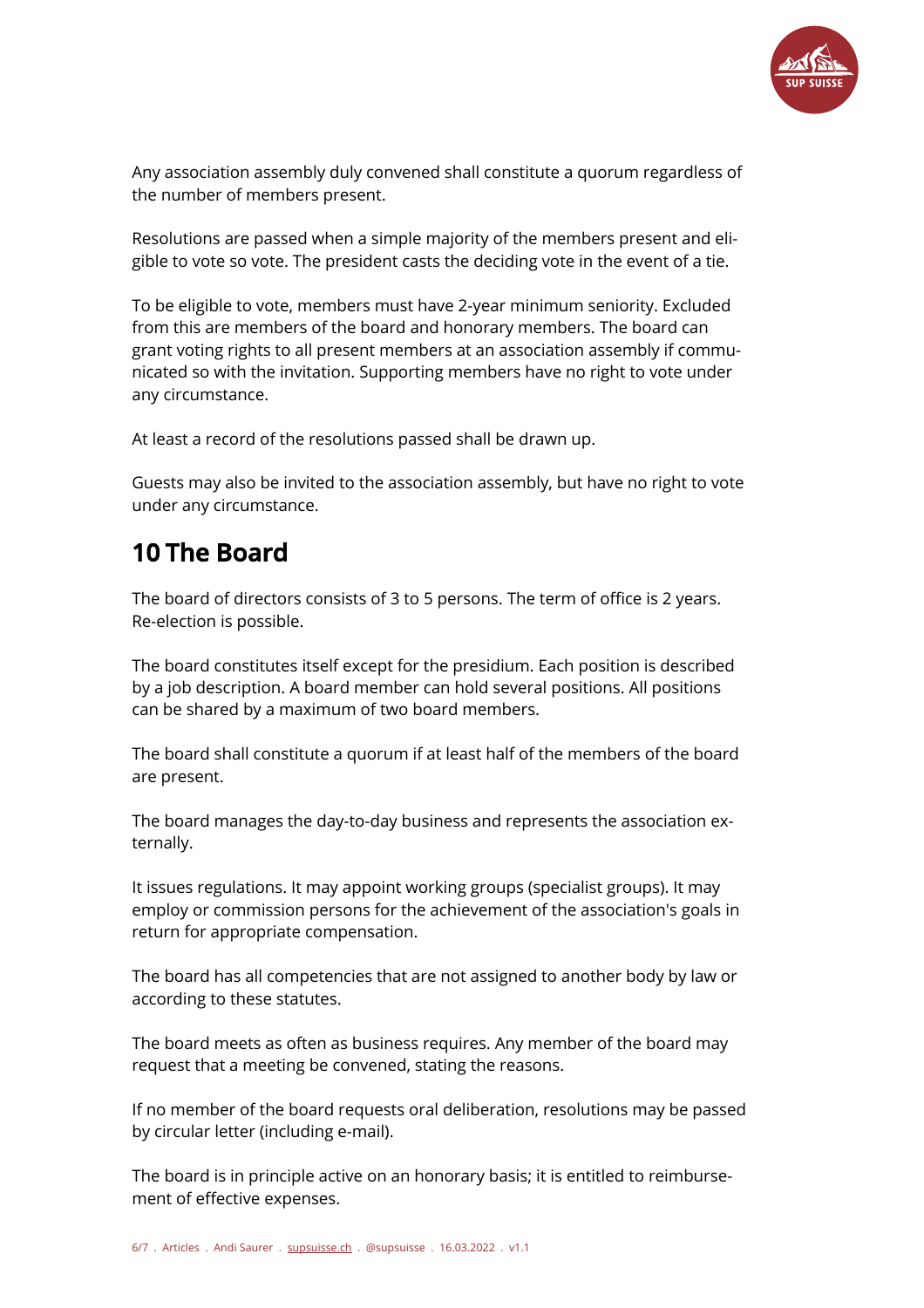

Any association assembly duly convened shall constitute a quorum regardless of the number of members present.

Resolutions are passed when a simple majority of the members present and eligible to vote so vote. The president casts the deciding vote in the event of a tie.

To be eligible to vote, members must have 2-year minimum seniority. Excluded from this are members of the board and honorary members. The board can grant voting rights to all present members at an association assembly if communicated so with the invitation. Supporting members have no right to vote under any circumstance.

At least a record of the resolutions passed shall be drawn up.

Guests may also be invited to the association assembly, but have no right to vote under any circumstance.

#### **10 The Board**

The board of directors consists of 3 to 5 persons. The term of office is 2 years. Re-election is possible.

The board constitutes itself except for the presidium. Each position is described by a job description. A board member can hold several positions. All positions can be shared by a maximum of two board members.

The board shall constitute a quorum if at least half of the members of the board are present.

The board manages the day-to-day business and represents the association externally.

It issues regulations. It may appoint working groups (specialist groups). It may employ or commission persons for the achievement of the association's goals in return for appropriate compensation.

The board has all competencies that are not assigned to another body by law or according to these statutes.

The board meets as often as business requires. Any member of the board may request that a meeting be convened, stating the reasons.

If no member of the board requests oral deliberation, resolutions may be passed by circular letter (including e-mail).

The board is in principle active on an honorary basis; it is entitled to reimbursement of effective expenses.